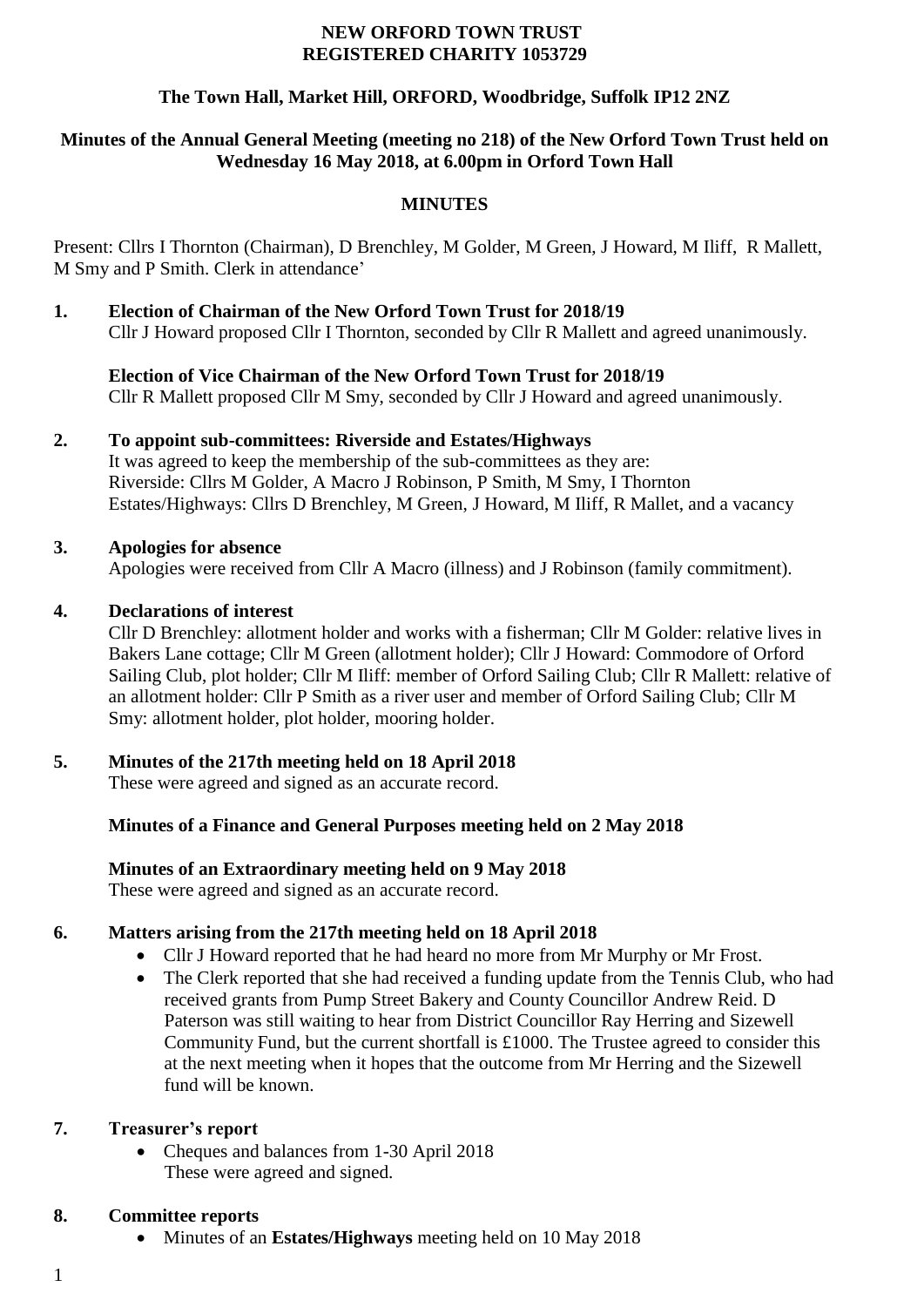#### **NEW ORFORD TOWN TRUST REGISTERED CHARITY 1053729**

# **The Town Hall, Market Hill, ORFORD, Woodbridge, Suffolk IP12 2NZ**

## **Minutes of the Annual General Meeting (meeting no 218) of the New Orford Town Trust held on Wednesday 16 May 2018, at 6.00pm in Orford Town Hall**

## **MINUTES**

Present: Cllrs I Thornton (Chairman), D Brenchley, M Golder, M Green, J Howard, M Iliff, R Mallett, M Smy and P Smith. Clerk in attendance'

**1. Election of Chairman of the New Orford Town Trust for 2018/19** Cllr J Howard proposed Cllr I Thornton, seconded by Cllr R Mallett and agreed unanimously.

**Election of Vice Chairman of the New Orford Town Trust for 2018/19** Cllr R Mallett proposed Cllr M Smy, seconded by Cllr J Howard and agreed unanimously.

## **2. To appoint sub-committees: Riverside and Estates/Highways**

It was agreed to keep the membership of the sub-committees as they are: Riverside: Cllrs M Golder, A Macro J Robinson, P Smith, M Smy, I Thornton Estates/Highways: Cllrs D Brenchley, M Green, J Howard, M Iliff, R Mallet, and a vacancy

#### **3. Apologies for absence**

Apologies were received from Cllr A Macro (illness) and J Robinson (family commitment).

#### **4. Declarations of interest**

Cllr D Brenchley: allotment holder and works with a fisherman; Cllr M Golder: relative lives in Bakers Lane cottage; Cllr M Green (allotment holder); Cllr J Howard: Commodore of Orford Sailing Club, plot holder; Cllr M Iliff: member of Orford Sailing Club; Cllr R Mallett: relative of an allotment holder: Cllr P Smith as a river user and member of Orford Sailing Club; Cllr M Smy: allotment holder, plot holder, mooring holder.

## **5. Minutes of the 217th meeting held on 18 April 2018**

These were agreed and signed as an accurate record.

## **Minutes of a Finance and General Purposes meeting held on 2 May 2018**

## **Minutes of an Extraordinary meeting held on 9 May 2018**

These were agreed and signed as an accurate record.

## **6. Matters arising from the 217th meeting held on 18 April 2018**

- Cllr J Howard reported that he had heard no more from Mr Murphy or Mr Frost.
- The Clerk reported that she had received a funding update from the Tennis Club, who had received grants from Pump Street Bakery and County Councillor Andrew Reid. D Paterson was still waiting to hear from District Councillor Ray Herring and Sizewell Community Fund, but the current shortfall is £1000. The Trustee agreed to consider this at the next meeting when it hopes that the outcome from Mr Herring and the Sizewell fund will be known.

#### **7. Treasurer's report**

• Cheques and balances from 1-30 April 2018 These were agreed and signed.

#### **8. Committee reports**

- Minutes of an **Estates/Highways** meeting held on 10 May 2018
- 1